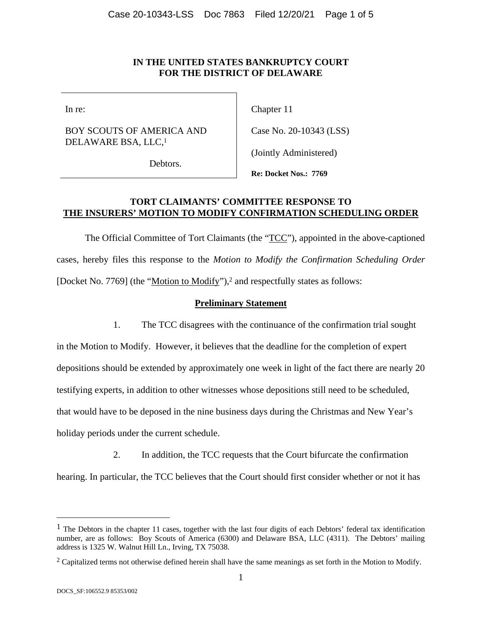#### **IN THE UNITED STATES BANKRUPTCY COURT FOR THE DISTRICT OF DELAWARE**

In re:

#### BOY SCOUTS OF AMERICA AND DELAWARE BSA, LLC,1

Chapter 11

Case No. 20-10343 (LSS)

(Jointly Administered)

Debtors.

**Re: Docket Nos.: 7769** 

### **TORT CLAIMANTS' COMMITTEE RESPONSE TO THE INSURERS' MOTION TO MODIFY CONFIRMATION SCHEDULING ORDER**

The Official Committee of Tort Claimants (the "TCC"), appointed in the above-captioned cases, hereby files this response to the *Motion to Modify the Confirmation Scheduling Order* [Docket No. 7769] (the "Motion to Modify"),<sup>2</sup> and respectfully states as follows:

### **Preliminary Statement**

1. The TCC disagrees with the continuance of the confirmation trial sought

in the Motion to Modify. However, it believes that the deadline for the completion of expert depositions should be extended by approximately one week in light of the fact there are nearly 20 testifying experts, in addition to other witnesses whose depositions still need to be scheduled, that would have to be deposed in the nine business days during the Christmas and New Year's holiday periods under the current schedule.

2. In addition, the TCC requests that the Court bifurcate the confirmation hearing. In particular, the TCC believes that the Court should first consider whether or not it has

 $\overline{a}$ 

<sup>&</sup>lt;sup>1</sup> The Debtors in the chapter 11 cases, together with the last four digits of each Debtors' federal tax identification number, are as follows: Boy Scouts of America (6300) and Delaware BSA, LLC (4311). The Debtors' mailing address is 1325 W. Walnut Hill Ln., Irving, TX 75038.

<sup>&</sup>lt;sup>2</sup> Capitalized terms not otherwise defined herein shall have the same meanings as set forth in the Motion to Modify.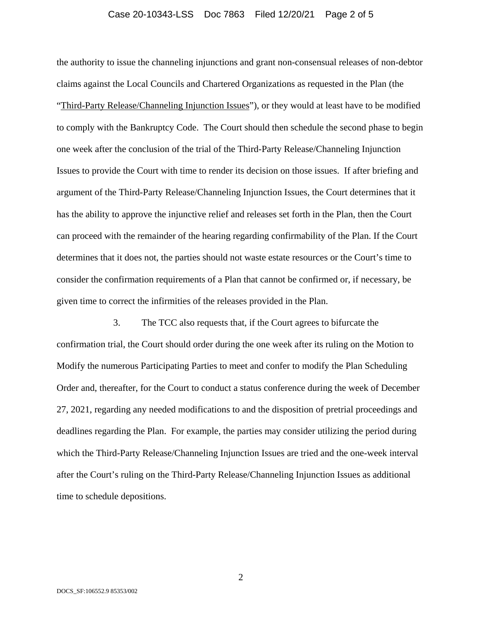#### Case 20-10343-LSS Doc 7863 Filed 12/20/21 Page 2 of 5

the authority to issue the channeling injunctions and grant non-consensual releases of non-debtor claims against the Local Councils and Chartered Organizations as requested in the Plan (the "Third-Party Release/Channeling Injunction Issues"), or they would at least have to be modified to comply with the Bankruptcy Code. The Court should then schedule the second phase to begin one week after the conclusion of the trial of the Third-Party Release/Channeling Injunction Issues to provide the Court with time to render its decision on those issues. If after briefing and argument of the Third-Party Release/Channeling Injunction Issues, the Court determines that it has the ability to approve the injunctive relief and releases set forth in the Plan, then the Court can proceed with the remainder of the hearing regarding confirmability of the Plan. If the Court determines that it does not, the parties should not waste estate resources or the Court's time to consider the confirmation requirements of a Plan that cannot be confirmed or, if necessary, be given time to correct the infirmities of the releases provided in the Plan.

3. The TCC also requests that, if the Court agrees to bifurcate the confirmation trial, the Court should order during the one week after its ruling on the Motion to Modify the numerous Participating Parties to meet and confer to modify the Plan Scheduling Order and, thereafter, for the Court to conduct a status conference during the week of December 27, 2021, regarding any needed modifications to and the disposition of pretrial proceedings and deadlines regarding the Plan. For example, the parties may consider utilizing the period during which the Third-Party Release/Channeling Injunction Issues are tried and the one-week interval after the Court's ruling on the Third-Party Release/Channeling Injunction Issues as additional time to schedule depositions.

2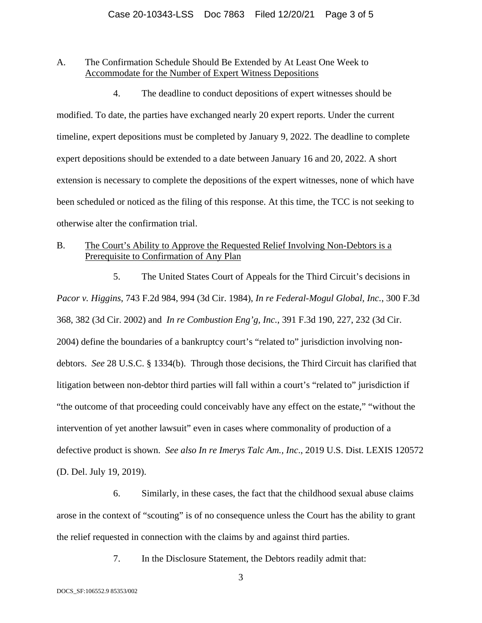### A. The Confirmation Schedule Should Be Extended by At Least One Week to Accommodate for the Number of Expert Witness Depositions

4. The deadline to conduct depositions of expert witnesses should be modified. To date, the parties have exchanged nearly 20 expert reports. Under the current timeline, expert depositions must be completed by January 9, 2022. The deadline to complete expert depositions should be extended to a date between January 16 and 20, 2022. A short extension is necessary to complete the depositions of the expert witnesses, none of which have been scheduled or noticed as the filing of this response. At this time, the TCC is not seeking to otherwise alter the confirmation trial.

### B. The Court's Ability to Approve the Requested Relief Involving Non-Debtors is a Prerequisite to Confirmation of Any Plan

5. The United States Court of Appeals for the Third Circuit's decisions in *Pacor v. Higgins*, 743 F.2d 984, 994 (3d Cir. 1984), *In re Federal-Mogul Global, Inc.*, 300 F.3d 368, 382 (3d Cir. 2002) and *In re Combustion Eng'g, Inc.*, 391 F.3d 190, 227, 232 (3d Cir. 2004) define the boundaries of a bankruptcy court's "related to" jurisdiction involving nondebtors. *See* 28 U.S.C. § 1334(b). Through those decisions, the Third Circuit has clarified that litigation between non-debtor third parties will fall within a court's "related to" jurisdiction if "the outcome of that proceeding could conceivably have any effect on the estate," "without the intervention of yet another lawsuit" even in cases where commonality of production of a defective product is shown. *See also In re Imerys Talc Am., Inc*., 2019 U.S. Dist. LEXIS 120572 (D. Del. July 19, 2019).

6. Similarly, in these cases, the fact that the childhood sexual abuse claims arose in the context of "scouting" is of no consequence unless the Court has the ability to grant the relief requested in connection with the claims by and against third parties.

7. In the Disclosure Statement, the Debtors readily admit that:

3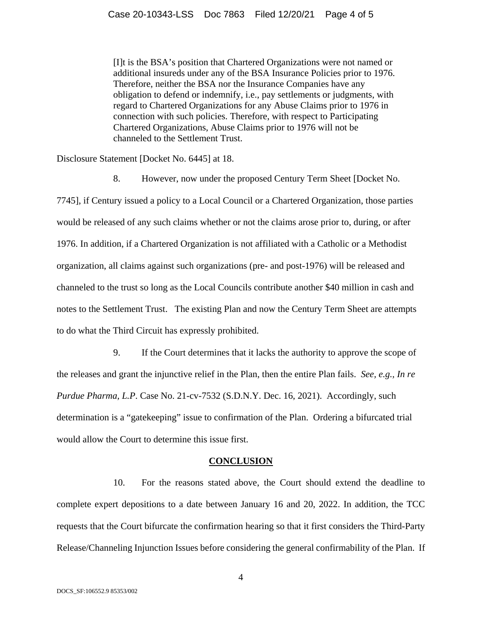[I]t is the BSA's position that Chartered Organizations were not named or additional insureds under any of the BSA Insurance Policies prior to 1976. Therefore, neither the BSA nor the Insurance Companies have any obligation to defend or indemnify, i.e., pay settlements or judgments, with regard to Chartered Organizations for any Abuse Claims prior to 1976 in connection with such policies. Therefore, with respect to Participating Chartered Organizations, Abuse Claims prior to 1976 will not be channeled to the Settlement Trust.

Disclosure Statement [Docket No. 6445] at 18.

8. However, now under the proposed Century Term Sheet [Docket No.

7745], if Century issued a policy to a Local Council or a Chartered Organization, those parties would be released of any such claims whether or not the claims arose prior to, during, or after 1976. In addition, if a Chartered Organization is not affiliated with a Catholic or a Methodist organization, all claims against such organizations (pre- and post-1976) will be released and channeled to the trust so long as the Local Councils contribute another \$40 million in cash and notes to the Settlement Trust. The existing Plan and now the Century Term Sheet are attempts to do what the Third Circuit has expressly prohibited.

9. If the Court determines that it lacks the authority to approve the scope of the releases and grant the injunctive relief in the Plan, then the entire Plan fails. *See, e.g., In re Purdue Pharma, L.P*. Case No. 21-cv-7532 (S.D.N.Y. Dec. 16, 2021). Accordingly, such determination is a "gatekeeping" issue to confirmation of the Plan. Ordering a bifurcated trial would allow the Court to determine this issue first.

#### **CONCLUSION**

10. For the reasons stated above, the Court should extend the deadline to complete expert depositions to a date between January 16 and 20, 2022. In addition, the TCC requests that the Court bifurcate the confirmation hearing so that it first considers the Third-Party Release/Channeling Injunction Issues before considering the general confirmability of the Plan. If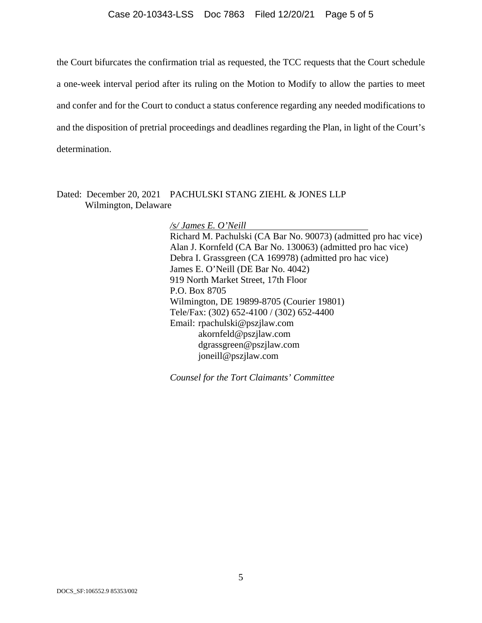#### Case 20-10343-LSS Doc 7863 Filed 12/20/21 Page 5 of 5

the Court bifurcates the confirmation trial as requested, the TCC requests that the Court schedule a one-week interval period after its ruling on the Motion to Modify to allow the parties to meet and confer and for the Court to conduct a status conference regarding any needed modifications to and the disposition of pretrial proceedings and deadlines regarding the Plan, in light of the Court's determination.

Dated: December 20, 2021 PACHULSKI STANG ZIEHL & JONES LLP Wilmington, Delaware

> */s/ James E. O'Neill*  Richard M. Pachulski (CA Bar No. 90073) (admitted pro hac vice) Alan J. Kornfeld (CA Bar No. 130063) (admitted pro hac vice) Debra I. Grassgreen (CA 169978) (admitted pro hac vice) James E. O'Neill (DE Bar No. 4042) 919 North Market Street, 17th Floor P.O. Box 8705 Wilmington, DE 19899-8705 (Courier 19801) Tele/Fax: (302) 652-4100 / (302) 652-4400 Email: rpachulski@pszjlaw.com akornfeld@pszjlaw.com dgrassgreen@pszjlaw.com joneill@pszjlaw.com

*Counsel for the Tort Claimants' Committee*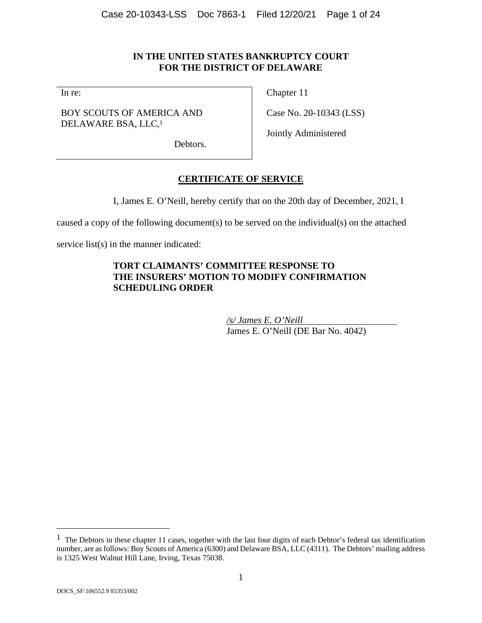## **IN THE UNITED STATES BANKRUPTCY COURT FOR THE DISTRICT OF DELAWARE**

In re:

BOY SCOUTS OF AMERICA AND DELAWARE BSA, LLC,1

Chapter 11

Case No. 20-10343 (LSS)

Jointly Administered

Debtors.

# **CERTIFICATE OF SERVICE**

I, James E. O'Neill, hereby certify that on the 20th day of December, 2021, I

caused a copy of the following document(s) to be served on the individual(s) on the attached

service list(s) in the manner indicated:

### **TORT CLAIMANTS' COMMITTEE RESPONSE TO THE INSURERS' MOTION TO MODIFY CONFIRMATION SCHEDULING ORDER**

*/s/ James E. O'Neill*  James E. O'Neill (DE Bar No. 4042)

 $\overline{a}$ 

 $<sup>1</sup>$  The Debtors in these chapter 11 cases, together with the last four digits of each Debtor's federal tax identification</sup> number, are as follows: Boy Scouts of America (6300) and Delaware BSA, LLC (4311). The Debtors' mailing address is 1325 West Walnut Hill Lane, Irving, Texas 75038.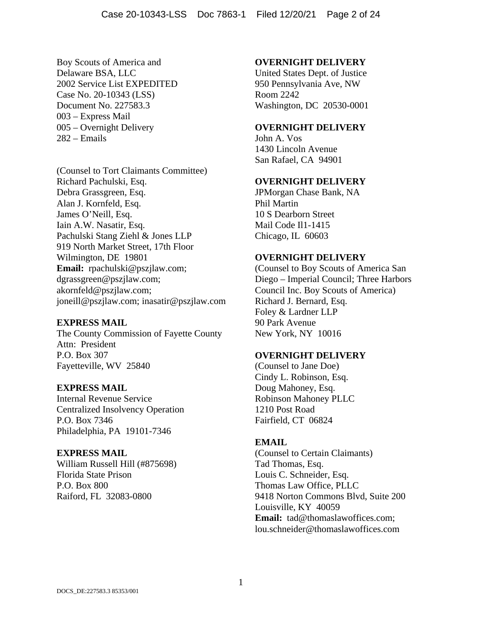Boy Scouts of America and Delaware BSA, LLC 2002 Service List EXPEDITED Case No. 20-10343 (LSS) Document No. 227583.3 003 – Express Mail 005 – Overnight Delivery 282 – Emails

(Counsel to Tort Claimants Committee) Richard Pachulski, Esq. Debra Grassgreen, Esq. Alan J. Kornfeld, Esq. James O'Neill, Esq. Iain A.W. Nasatir, Esq. Pachulski Stang Ziehl & Jones LLP 919 North Market Street, 17th Floor Wilmington, DE 19801 **Email:** rpachulski@pszjlaw.com; dgrassgreen@pszjlaw.com; akornfeld@pszjlaw.com; joneill@pszjlaw.com; inasatir@pszjlaw.com

### **EXPRESS MAIL**

The County Commission of Fayette County Attn: President P.O. Box 307 Fayetteville, WV 25840

#### **EXPRESS MAIL**

Internal Revenue Service Centralized Insolvency Operation P.O. Box 7346 Philadelphia, PA 19101-7346

#### **EXPRESS MAIL**

William Russell Hill (#875698) Florida State Prison P.O. Box 800 Raiford, FL 32083-0800

#### **OVERNIGHT DELIVERY**

United States Dept. of Justice 950 Pennsylvania Ave, NW Room 2242 Washington, DC 20530-0001

#### **OVERNIGHT DELIVERY**

John A. Vos 1430 Lincoln Avenue San Rafael, CA 94901

### **OVERNIGHT DELIVERY**

JPMorgan Chase Bank, NA Phil Martin 10 S Dearborn Street Mail Code Il1-1415 Chicago, IL 60603

#### **OVERNIGHT DELIVERY**

(Counsel to Boy Scouts of America San Diego – Imperial Council; Three Harbors Council Inc. Boy Scouts of America) Richard J. Bernard, Esq. Foley & Lardner LLP 90 Park Avenue New York, NY 10016

#### **OVERNIGHT DELIVERY**

(Counsel to Jane Doe) Cindy L. Robinson, Esq. Doug Mahoney, Esq. Robinson Mahoney PLLC 1210 Post Road Fairfield, CT 06824

#### **EMAIL**

(Counsel to Certain Claimants) Tad Thomas, Esq. Louis C. Schneider, Esq. Thomas Law Office, PLLC 9418 Norton Commons Blvd, Suite 200 Louisville, KY 40059 **Email:** tad@thomaslawoffices.com; lou.schneider@thomaslawoffices.com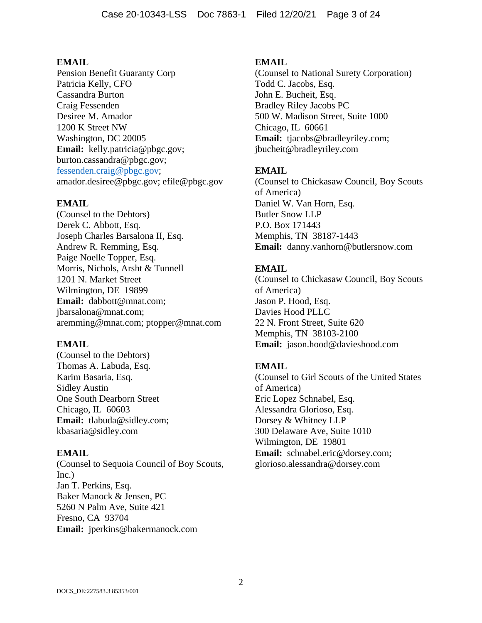Pension Benefit Guaranty Corp Patricia Kelly, CFO Cassandra Burton Craig Fessenden Desiree M. Amador 1200 K Street NW Washington, DC 20005 **Email:** kelly.patricia@pbgc.gov; burton.cassandra@pbgc.gov; fessenden.craig@pbgc.gov; amador.desiree@pbgc.gov; efile@pbgc.gov

#### **EMAIL**

(Counsel to the Debtors) Derek C. Abbott, Esq. Joseph Charles Barsalona II, Esq. Andrew R. Remming, Esq. Paige Noelle Topper, Esq. Morris, Nichols, Arsht & Tunnell 1201 N. Market Street Wilmington, DE 19899 **Email:** dabbott@mnat.com; jbarsalona@mnat.com; aremming@mnat.com; ptopper@mnat.com

#### **EMAIL**

(Counsel to the Debtors) Thomas A. Labuda, Esq. Karim Basaria, Esq. Sidley Austin One South Dearborn Street Chicago, IL 60603 **Email:** tlabuda@sidley.com; kbasaria@sidley.com

#### **EMAIL**

(Counsel to Sequoia Council of Boy Scouts, Inc.) Jan T. Perkins, Esq. Baker Manock & Jensen, PC 5260 N Palm Ave, Suite 421 Fresno, CA 93704 **Email:** jperkins@bakermanock.com

#### **EMAIL**

(Counsel to National Surety Corporation) Todd C. Jacobs, Esq. John E. Bucheit, Esq. Bradley Riley Jacobs PC 500 W. Madison Street, Suite 1000 Chicago, IL 60661 **Email:** tjacobs@bradleyriley.com; jbucheit@bradleyriley.com

#### **EMAIL**

(Counsel to Chickasaw Council, Boy Scouts of America) Daniel W. Van Horn, Esq. Butler Snow LLP P.O. Box 171443 Memphis, TN 38187-1443 **Email:** danny.vanhorn@butlersnow.com

#### **EMAIL**

(Counsel to Chickasaw Council, Boy Scouts of America) Jason P. Hood, Esq. Davies Hood PLLC 22 N. Front Street, Suite 620 Memphis, TN 38103-2100 **Email:** jason.hood@davieshood.com

#### **EMAIL**

(Counsel to Girl Scouts of the United States of America) Eric Lopez Schnabel, Esq. Alessandra Glorioso, Esq. Dorsey & Whitney LLP 300 Delaware Ave, Suite 1010 Wilmington, DE 19801 **Email:** schnabel.eric@dorsey.com; glorioso.alessandra@dorsey.com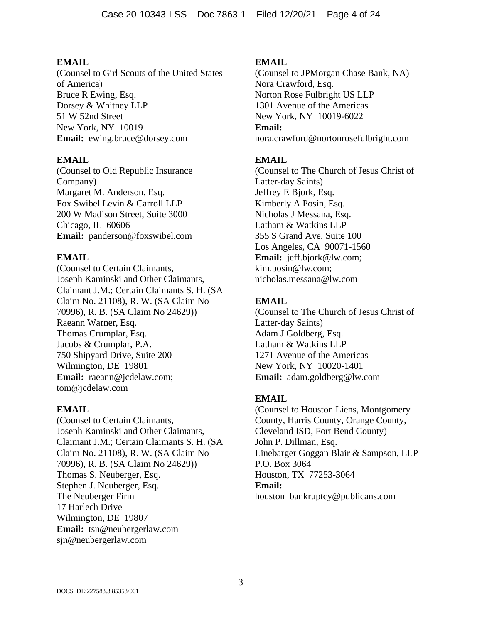(Counsel to Girl Scouts of the United States of America) Bruce R Ewing, Esq. Dorsey & Whitney LLP 51 W 52nd Street New York, NY 10019 **Email:** ewing.bruce@dorsey.com

### **EMAIL**

(Counsel to Old Republic Insurance Company) Margaret M. Anderson, Esq. Fox Swibel Levin & Carroll LLP 200 W Madison Street, Suite 3000 Chicago, IL 60606 **Email:** panderson@foxswibel.com

## **EMAIL**

(Counsel to Certain Claimants, Joseph Kaminski and Other Claimants, Claimant J.M.; Certain Claimants S. H. (SA Claim No. 21108), R. W. (SA Claim No 70996), R. B. (SA Claim No 24629)) Raeann Warner, Esq. Thomas Crumplar, Esq. Jacobs & Crumplar, P.A. 750 Shipyard Drive, Suite 200 Wilmington, DE 19801 **Email:** raeann@jcdelaw.com; tom@jcdelaw.com

### **EMAIL**

(Counsel to Certain Claimants, Joseph Kaminski and Other Claimants, Claimant J.M.; Certain Claimants S. H. (SA Claim No. 21108), R. W. (SA Claim No 70996), R. B. (SA Claim No 24629)) Thomas S. Neuberger, Esq. Stephen J. Neuberger, Esq. The Neuberger Firm 17 Harlech Drive Wilmington, DE 19807 **Email:** tsn@neubergerlaw.com sjn@neubergerlaw.com

### **EMAIL**

(Counsel to JPMorgan Chase Bank, NA) Nora Crawford, Esq. Norton Rose Fulbright US LLP 1301 Avenue of the Americas New York, NY 10019-6022 **Email:** nora.crawford@nortonrosefulbright.com

## **EMAIL**

(Counsel to The Church of Jesus Christ of Latter-day Saints) Jeffrey E Bjork, Esq. Kimberly A Posin, Esq. Nicholas J Messana, Esq. Latham & Watkins LLP 355 S Grand Ave, Suite 100 Los Angeles, CA 90071-1560 **Email:** jeff.bjork@lw.com; kim.posin@lw.com; nicholas.messana@lw.com

### **EMAIL**

(Counsel to The Church of Jesus Christ of Latter-day Saints) Adam J Goldberg, Esq. Latham & Watkins LLP 1271 Avenue of the Americas New York, NY 10020-1401 **Email:** adam.goldberg@lw.com

## **EMAIL**

(Counsel to Houston Liens, Montgomery County, Harris County, Orange County, Cleveland ISD, Fort Bend County) John P. Dillman, Esq. Linebarger Goggan Blair & Sampson, LLP P.O. Box 3064 Houston, TX 77253-3064 **Email:** houston\_bankruptcy@publicans.com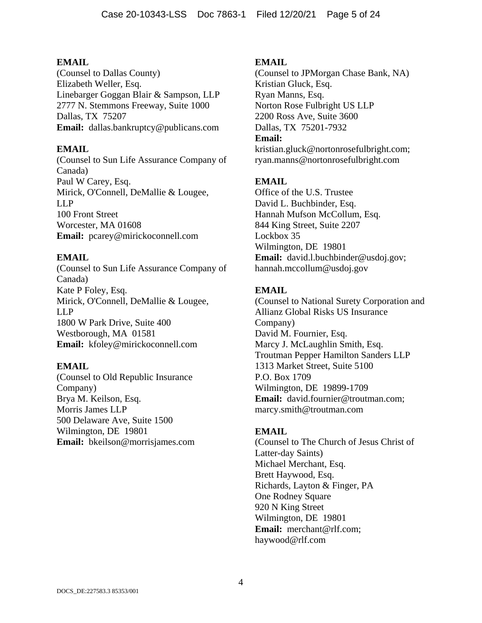(Counsel to Dallas County) Elizabeth Weller, Esq. Linebarger Goggan Blair & Sampson, LLP 2777 N. Stemmons Freeway, Suite 1000 Dallas, TX 75207 **Email:** dallas.bankruptcy@publicans.com

### **EMAIL**

(Counsel to Sun Life Assurance Company of Canada) Paul W Carey, Esq. Mirick, O'Connell, DeMallie & Lougee, LLP 100 Front Street Worcester, MA 01608 **Email:** pcarey@mirickoconnell.com

### **EMAIL**

(Counsel to Sun Life Assurance Company of Canada) Kate P Foley, Esq. Mirick, O'Connell, DeMallie & Lougee, LLP 1800 W Park Drive, Suite 400 Westborough, MA 01581 **Email:** kfoley@mirickoconnell.com

### **EMAIL**

(Counsel to Old Republic Insurance Company) Brya M. Keilson, Esq. Morris James LLP 500 Delaware Ave, Suite 1500 Wilmington, DE 19801 **Email:** bkeilson@morrisjames.com

### **EMAIL**

(Counsel to JPMorgan Chase Bank, NA) Kristian Gluck, Esq. Ryan Manns, Esq. Norton Rose Fulbright US LLP 2200 Ross Ave, Suite 3600 Dallas, TX 75201-7932 **Email:** kristian.gluck@nortonrosefulbright.com;

ryan.manns@nortonrosefulbright.com

## **EMAIL**

Office of the U.S. Trustee David L. Buchbinder, Esq. Hannah Mufson McCollum, Esq. 844 King Street, Suite 2207 Lockbox 35 Wilmington, DE 19801 **Email:** david.l.buchbinder@usdoj.gov; hannah.mccollum@usdoj.gov

# **EMAIL**

(Counsel to National Surety Corporation and Allianz Global Risks US Insurance Company) David M. Fournier, Esq. Marcy J. McLaughlin Smith, Esq. Troutman Pepper Hamilton Sanders LLP 1313 Market Street, Suite 5100 P.O. Box 1709 Wilmington, DE 19899-1709 **Email:** david.fournier@troutman.com; marcy.smith@troutman.com

### **EMAIL**

(Counsel to The Church of Jesus Christ of Latter-day Saints) Michael Merchant, Esq. Brett Haywood, Esq. Richards, Layton & Finger, PA One Rodney Square 920 N King Street Wilmington, DE 19801 **Email:** merchant@rlf.com; haywood@rlf.com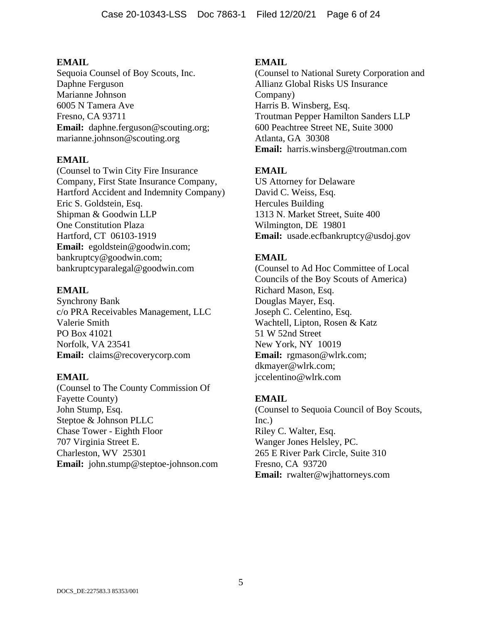Sequoia Counsel of Boy Scouts, Inc. Daphne Ferguson Marianne Johnson 6005 N Tamera Ave Fresno, CA 93711 **Email:** daphne.ferguson@scouting.org; marianne.johnson@scouting.org

### **EMAIL**

(Counsel to Twin City Fire Insurance Company, First State Insurance Company, Hartford Accident and Indemnity Company) Eric S. Goldstein, Esq. Shipman & Goodwin LLP One Constitution Plaza Hartford, CT 06103-1919 **Email:** egoldstein@goodwin.com; bankruptcy@goodwin.com; bankruptcyparalegal@goodwin.com

### **EMAIL**

Synchrony Bank c/o PRA Receivables Management, LLC Valerie Smith PO Box 41021 Norfolk, VA 23541 **Email:** claims@recoverycorp.com

### **EMAIL**

(Counsel to The County Commission Of Fayette County) John Stump, Esq. Steptoe & Johnson PLLC Chase Tower - Eighth Floor 707 Virginia Street E. Charleston, WV 25301 **Email:** john.stump@steptoe-johnson.com

### **EMAIL**

(Counsel to National Surety Corporation and Allianz Global Risks US Insurance Company) Harris B. Winsberg, Esq. Troutman Pepper Hamilton Sanders LLP 600 Peachtree Street NE, Suite 3000 Atlanta, GA 30308 **Email:** harris.winsberg@troutman.com

## **EMAIL**

US Attorney for Delaware David C. Weiss, Esq. Hercules Building 1313 N. Market Street, Suite 400 Wilmington, DE 19801 **Email:** usade.ecfbankruptcy@usdoj.gov

## **EMAIL**

(Counsel to Ad Hoc Committee of Local Councils of the Boy Scouts of America) Richard Mason, Esq. Douglas Mayer, Esq. Joseph C. Celentino, Esq. Wachtell, Lipton, Rosen & Katz 51 W 52nd Street New York, NY 10019 **Email:** rgmason@wlrk.com; dkmayer@wlrk.com; jccelentino@wlrk.com

### **EMAIL**

(Counsel to Sequoia Council of Boy Scouts, Inc.) Riley C. Walter, Esq. Wanger Jones Helsley, PC. 265 E River Park Circle, Suite 310 Fresno, CA 93720 **Email:** rwalter@wjhattorneys.com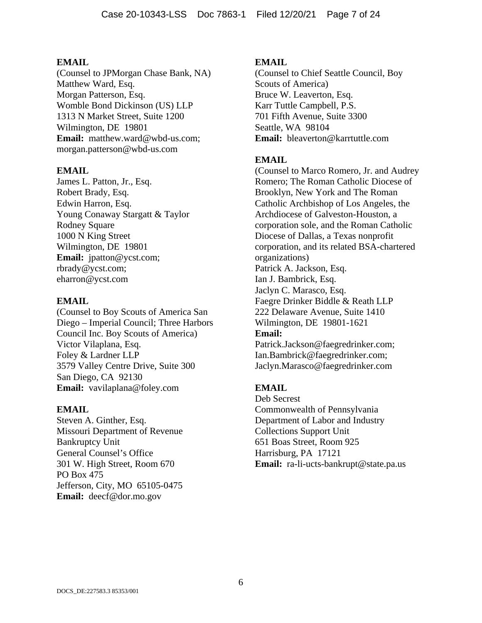(Counsel to JPMorgan Chase Bank, NA) Matthew Ward, Esq. Morgan Patterson, Esq. Womble Bond Dickinson (US) LLP 1313 N Market Street, Suite 1200 Wilmington, DE 19801 **Email:** matthew.ward@wbd-us.com; morgan.patterson@wbd-us.com

### **EMAIL**

James L. Patton, Jr., Esq. Robert Brady, Esq. Edwin Harron, Esq. Young Conaway Stargatt & Taylor Rodney Square 1000 N King Street Wilmington, DE 19801 **Email:** jpatton@ycst.com; rbrady@ycst.com; eharron@ycst.com

#### **EMAIL**

(Counsel to Boy Scouts of America San Diego – Imperial Council; Three Harbors Council Inc. Boy Scouts of America) Victor Vilaplana, Esq. Foley & Lardner LLP 3579 Valley Centre Drive, Suite 300 San Diego, CA 92130 **Email:** vavilaplana@foley.com

### **EMAIL**

Steven A. Ginther, Esq. Missouri Department of Revenue Bankruptcy Unit General Counsel's Office 301 W. High Street, Room 670 PO Box 475 Jefferson, City, MO 65105-0475 **Email:** deecf@dor.mo.gov

### **EMAIL**

(Counsel to Chief Seattle Council, Boy Scouts of America) Bruce W. Leaverton, Esq. Karr Tuttle Campbell, P.S. 701 Fifth Avenue, Suite 3300 Seattle, WA 98104 **Email:** bleaverton@karrtuttle.com

### **EMAIL**

(Counsel to Marco Romero, Jr. and Audrey Romero; The Roman Catholic Diocese of Brooklyn, New York and The Roman Catholic Archbishop of Los Angeles, the Archdiocese of Galveston-Houston, a corporation sole, and the Roman Catholic Diocese of Dallas, a Texas nonprofit corporation, and its related BSA-chartered organizations) Patrick A. Jackson, Esq. Ian J. Bambrick, Esq. Jaclyn C. Marasco, Esq. Faegre Drinker Biddle & Reath LLP 222 Delaware Avenue, Suite 1410 Wilmington, DE 19801-1621 **Email:** Patrick.Jackson@faegredrinker.com; Ian.Bambrick@faegredrinker.com;

Jaclyn.Marasco@faegredrinker.com

## **EMAIL**

Deb Secrest Commonwealth of Pennsylvania Department of Labor and Industry Collections Support Unit 651 Boas Street, Room 925 Harrisburg, PA 17121 **Email:** ra-li-ucts-bankrupt@state.pa.us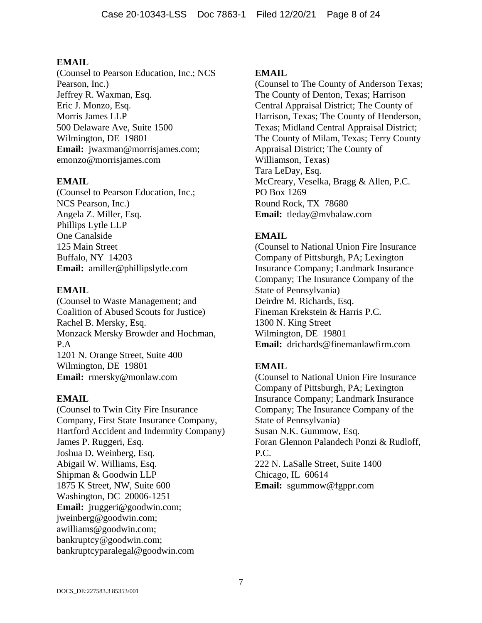(Counsel to Pearson Education, Inc.; NCS Pearson, Inc.) Jeffrey R. Waxman, Esq. Eric J. Monzo, Esq. Morris James LLP 500 Delaware Ave, Suite 1500 Wilmington, DE 19801 **Email:** jwaxman@morrisjames.com; emonzo@morrisjames.com

### **EMAIL**

(Counsel to Pearson Education, Inc.; NCS Pearson, Inc.) Angela Z. Miller, Esq. Phillips Lytle LLP One Canalside 125 Main Street Buffalo, NY 14203 **Email:** amiller@phillipslytle.com

### **EMAIL**

(Counsel to Waste Management; and Coalition of Abused Scouts for Justice) Rachel B. Mersky, Esq. Monzack Mersky Browder and Hochman, P.A 1201 N. Orange Street, Suite 400 Wilmington, DE 19801 **Email:** rmersky@monlaw.com

### **EMAIL**

(Counsel to Twin City Fire Insurance Company, First State Insurance Company, Hartford Accident and Indemnity Company) James P. Ruggeri, Esq. Joshua D. Weinberg, Esq. Abigail W. Williams, Esq. Shipman & Goodwin LLP 1875 K Street, NW, Suite 600 Washington, DC 20006-1251 **Email:** jruggeri@goodwin.com; jweinberg@goodwin.com; awilliams@goodwin.com; bankruptcy@goodwin.com; bankruptcyparalegal@goodwin.com

#### **EMAIL**

(Counsel to The County of Anderson Texas; The County of Denton, Texas; Harrison Central Appraisal District; The County of Harrison, Texas; The County of Henderson, Texas; Midland Central Appraisal District; The County of Milam, Texas; Terry County Appraisal District; The County of Williamson, Texas) Tara LeDay, Esq. McCreary, Veselka, Bragg & Allen, P.C. PO Box 1269 Round Rock, TX 78680 **Email:** tleday@mvbalaw.com

### **EMAIL**

(Counsel to National Union Fire Insurance Company of Pittsburgh, PA; Lexington Insurance Company; Landmark Insurance Company; The Insurance Company of the State of Pennsylvania) Deirdre M. Richards, Esq. Fineman Krekstein & Harris P.C. 1300 N. King Street Wilmington, DE 19801 **Email:** drichards@finemanlawfirm.com

## **EMAIL**

(Counsel to National Union Fire Insurance Company of Pittsburgh, PA; Lexington Insurance Company; Landmark Insurance Company; The Insurance Company of the State of Pennsylvania) Susan N.K. Gummow, Esq. Foran Glennon Palandech Ponzi & Rudloff, P.C. 222 N. LaSalle Street, Suite 1400 Chicago, IL 60614 **Email:** sgummow@fgppr.com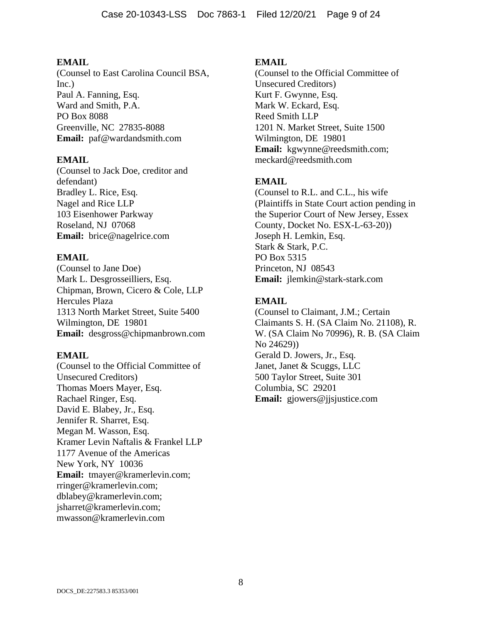(Counsel to East Carolina Council BSA, Inc.) Paul A. Fanning, Esq. Ward and Smith, P.A. PO Box 8088 Greenville, NC 27835-8088 **Email:** paf@wardandsmith.com

#### **EMAIL**

(Counsel to Jack Doe, creditor and defendant) Bradley L. Rice, Esq. Nagel and Rice LLP 103 Eisenhower Parkway Roseland, NJ 07068 **Email:** brice@nagelrice.com

### **EMAIL**

(Counsel to Jane Doe) Mark L. Desgrosseilliers, Esq. Chipman, Brown, Cicero & Cole, LLP Hercules Plaza 1313 North Market Street, Suite 5400 Wilmington, DE 19801 **Email:** desgross@chipmanbrown.com

#### **EMAIL**

(Counsel to the Official Committee of Unsecured Creditors) Thomas Moers Mayer, Esq. Rachael Ringer, Esq. David E. Blabey, Jr., Esq. Jennifer R. Sharret, Esq. Megan M. Wasson, Esq. Kramer Levin Naftalis & Frankel LLP 1177 Avenue of the Americas New York, NY 10036 **Email:** tmayer@kramerlevin.com; rringer@kramerlevin.com; dblabey@kramerlevin.com; jsharret@kramerlevin.com; mwasson@kramerlevin.com

#### **EMAIL**

(Counsel to the Official Committee of Unsecured Creditors) Kurt F. Gwynne, Esq. Mark W. Eckard, Esq. Reed Smith LLP 1201 N. Market Street, Suite 1500 Wilmington, DE 19801 **Email:** kgwynne@reedsmith.com; meckard@reedsmith.com

### **EMAIL**

(Counsel to R.L. and C.L., his wife (Plaintiffs in State Court action pending in the Superior Court of New Jersey, Essex County, Docket No. ESX-L-63-20)) Joseph H. Lemkin, Esq. Stark & Stark, P.C. PO Box 5315 Princeton, NJ 08543 **Email:** jlemkin@stark-stark.com

### **EMAIL**

(Counsel to Claimant, J.M.; Certain Claimants S. H. (SA Claim No. 21108), R. W. (SA Claim No 70996), R. B. (SA Claim No 24629)) Gerald D. Jowers, Jr., Esq. Janet, Janet & Scuggs, LLC 500 Taylor Street, Suite 301 Columbia, SC 29201 **Email:** gjowers@jjsjustice.com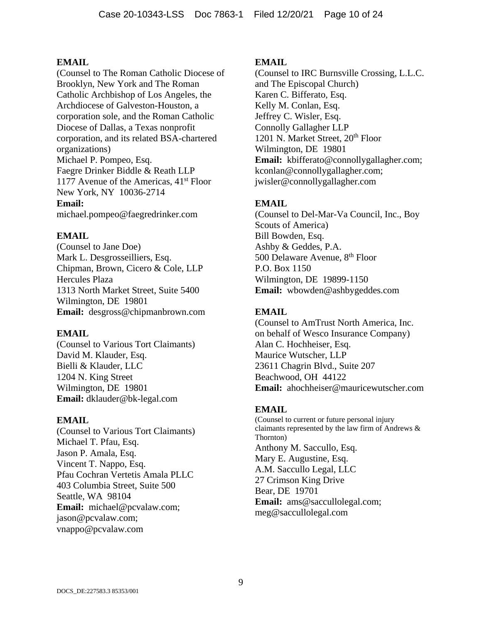(Counsel to The Roman Catholic Diocese of Brooklyn, New York and The Roman Catholic Archbishop of Los Angeles, the Archdiocese of Galveston-Houston, a corporation sole, and the Roman Catholic Diocese of Dallas, a Texas nonprofit corporation, and its related BSA-chartered organizations) Michael P. Pompeo, Esq. Faegre Drinker Biddle & Reath LLP 1177 Avenue of the Americas,  $41<sup>st</sup>$  Floor New York, NY 10036-2714 **Email:** michael.pompeo@faegredrinker.com

### **EMAIL**

(Counsel to Jane Doe) Mark L. Desgrosseilliers, Esq. Chipman, Brown, Cicero & Cole, LLP Hercules Plaza 1313 North Market Street, Suite 5400 Wilmington, DE 19801 **Email:** desgross@chipmanbrown.com

### **EMAIL**

(Counsel to Various Tort Claimants) David M. Klauder, Esq. Bielli & Klauder, LLC 1204 N. King Street Wilmington, DE 19801 **Email:** dklauder@bk-legal.com

### **EMAIL**

(Counsel to Various Tort Claimants) Michael T. Pfau, Esq. Jason P. Amala, Esq. Vincent T. Nappo, Esq. Pfau Cochran Vertetis Amala PLLC 403 Columbia Street, Suite 500 Seattle, WA 98104 **Email:** michael@pcvalaw.com; jason@pcvalaw.com; vnappo@pcvalaw.com

### **EMAIL**

(Counsel to IRC Burnsville Crossing, L.L.C. and The Episcopal Church) Karen C. Bifferato, Esq. Kelly M. Conlan, Esq. Jeffrey C. Wisler, Esq. Connolly Gallagher LLP 1201 N. Market Street, 20<sup>th</sup> Floor Wilmington, DE 19801 **Email:** kbifferato@connollygallagher.com; kconlan@connollygallagher.com; jwisler@connollygallagher.com

# **EMAIL**

(Counsel to Del-Mar-Va Council, Inc., Boy Scouts of America) Bill Bowden, Esq. Ashby & Geddes, P.A. 500 Delaware Avenue, 8<sup>th</sup> Floor P.O. Box 1150 Wilmington, DE 19899-1150 **Email:** wbowden@ashbygeddes.com

## **EMAIL**

(Counsel to AmTrust North America, Inc. on behalf of Wesco Insurance Company) Alan C. Hochheiser, Esq. Maurice Wutscher, LLP 23611 Chagrin Blvd., Suite 207 Beachwood, OH 44122 **Email:** ahochheiser@mauricewutscher.com

## **EMAIL**

(Counsel to current or future personal injury claimants represented by the law firm of Andrews & Thornton) Anthony M. Saccullo, Esq. Mary E. Augustine, Esq. A.M. Saccullo Legal, LLC 27 Crimson King Drive Bear, DE 19701 **Email:** ams@saccullolegal.com; meg@saccullolegal.com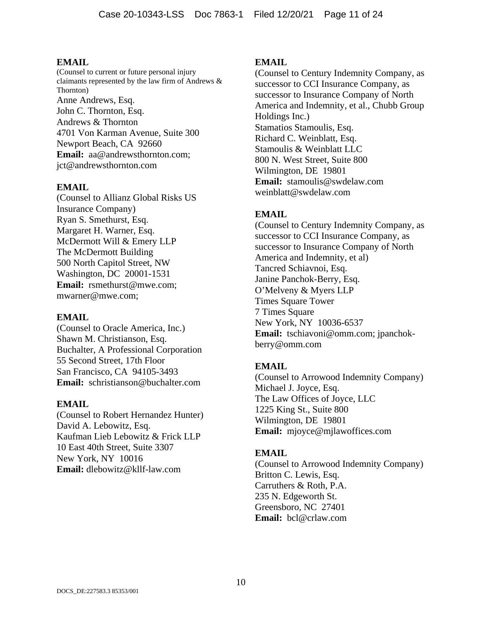(Counsel to current or future personal injury claimants represented by the law firm of Andrews & Thornton) Anne Andrews, Esq. John C. Thornton, Esq. Andrews & Thornton 4701 Von Karman Avenue, Suite 300 Newport Beach, CA 92660 **Email:** aa@andrewsthornton.com; jct@andrewsthornton.com

#### **EMAIL**

(Counsel to Allianz Global Risks US Insurance Company) Ryan S. Smethurst, Esq. Margaret H. Warner, Esq. McDermott Will & Emery LLP The McDermott Building 500 North Capitol Street, NW Washington, DC 20001-1531 **Email:** rsmethurst@mwe.com; mwarner@mwe.com;

#### **EMAIL**

(Counsel to Oracle America, Inc.) Shawn M. Christianson, Esq. Buchalter, A Professional Corporation 55 Second Street, 17th Floor San Francisco, CA 94105-3493 **Email:** schristianson@buchalter.com

#### **EMAIL**

(Counsel to Robert Hernandez Hunter) David A. Lebowitz, Esq. Kaufman Lieb Lebowitz & Frick LLP 10 East 40th Street, Suite 3307 New York, NY 10016 **Email:** dlebowitz@kllf-law.com

#### **EMAIL**

(Counsel to Century Indemnity Company, as successor to CCI Insurance Company, as successor to Insurance Company of North America and Indemnity, et al., Chubb Group Holdings Inc.) Stamatios Stamoulis, Esq. Richard C. Weinblatt, Esq. Stamoulis & Weinblatt LLC 800 N. West Street, Suite 800 Wilmington, DE 19801 **Email:** stamoulis@swdelaw.com weinblatt@swdelaw.com

### **EMAIL**

(Counsel to Century Indemnity Company, as successor to CCI Insurance Company, as successor to Insurance Company of North America and Indemnity, et al) Tancred Schiavnoi, Esq. Janine Panchok-Berry, Esq. O'Melveny & Myers LLP Times Square Tower 7 Times Square New York, NY 10036-6537 **Email:** tschiavoni@omm.com; jpanchokberry@omm.com

### **EMAIL**

(Counsel to Arrowood Indemnity Company) Michael J. Joyce, Esq. The Law Offices of Joyce, LLC 1225 King St., Suite 800 Wilmington, DE 19801 **Email:** mjoyce@mjlawoffices.com

#### **EMAIL**

(Counsel to Arrowood Indemnity Company) Britton C. Lewis, Esq. Carruthers & Roth, P.A. 235 N. Edgeworth St. Greensboro, NC 27401 **Email:** bcl@crlaw.com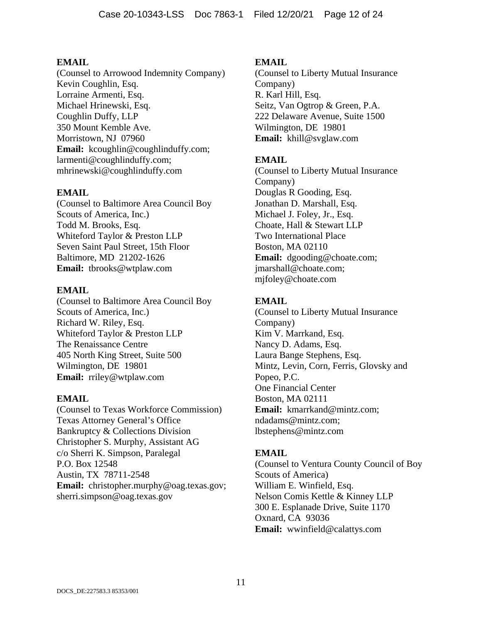(Counsel to Arrowood Indemnity Company) Kevin Coughlin, Esq. Lorraine Armenti, Esq. Michael Hrinewski, Esq. Coughlin Duffy, LLP 350 Mount Kemble Ave. Morristown, NJ 07960 Email: kcoughlin@coughlinduffy.com; larmenti@coughlinduffy.com; mhrinewski@coughlinduffy.com

## **EMAIL**

(Counsel to Baltimore Area Council Boy Scouts of America, Inc.) Todd M. Brooks, Esq. Whiteford Taylor & Preston LLP Seven Saint Paul Street, 15th Floor Baltimore, MD 21202-1626 **Email:** tbrooks@wtplaw.com

### **EMAIL**

(Counsel to Baltimore Area Council Boy Scouts of America, Inc.) Richard W. Riley, Esq. Whiteford Taylor & Preston LLP The Renaissance Centre 405 North King Street, Suite 500 Wilmington, DE 19801 **Email:** rriley@wtplaw.com

### **EMAIL**

(Counsel to Texas Workforce Commission) Texas Attorney General's Office Bankruptcy & Collections Division Christopher S. Murphy, Assistant AG c/o Sherri K. Simpson, Paralegal P.O. Box 12548 Austin, TX 78711-2548 **Email:** christopher.murphy@oag.texas.gov; sherri.simpson@oag.texas.gov

### **EMAIL**

(Counsel to Liberty Mutual Insurance Company) R. Karl Hill, Esq. Seitz, Van Ogtrop & Green, P.A. 222 Delaware Avenue, Suite 1500 Wilmington, DE 19801 **Email:** khill@svglaw.com

## **EMAIL**

(Counsel to Liberty Mutual Insurance Company) Douglas R Gooding, Esq. Jonathan D. Marshall, Esq. Michael J. Foley, Jr., Esq. Choate, Hall & Stewart LLP Two International Place Boston, MA 02110 **Email:** dgooding@choate.com; jmarshall@choate.com; mjfoley@choate.com

## **EMAIL**

(Counsel to Liberty Mutual Insurance Company) Kim V. Marrkand, Esq. Nancy D. Adams, Esq. Laura Bange Stephens, Esq. Mintz, Levin, Corn, Ferris, Glovsky and Popeo, P.C. One Financial Center Boston, MA 02111 **Email:** kmarrkand@mintz.com; ndadams@mintz.com; lbstephens@mintz.com

## **EMAIL**

(Counsel to Ventura County Council of Boy Scouts of America) William E. Winfield, Esq. Nelson Comis Kettle & Kinney LLP 300 E. Esplanade Drive, Suite 1170 Oxnard, CA 93036 **Email:** wwinfield@calattys.com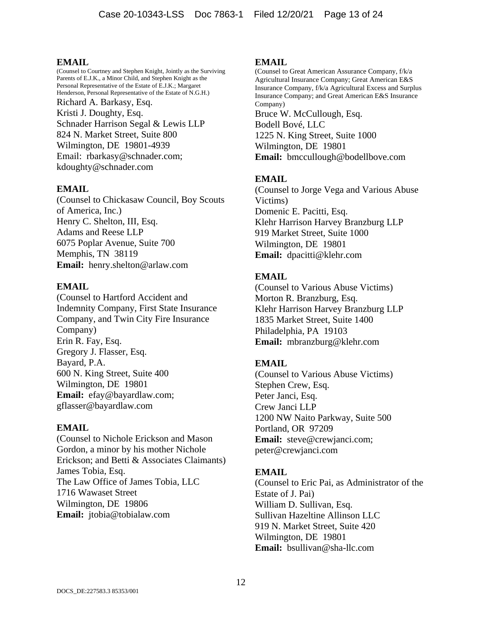(Counsel to Courtney and Stephen Knight, Jointly as the Surviving Parents of E.J.K., a Minor Child, and Stephen Knight as the Personal Representative of the Estate of E.J.K.; Margaret Henderson, Personal Representative of the Estate of N.G.H.) Richard A. Barkasy, Esq. Kristi J. Doughty, Esq. Schnader Harrison Segal & Lewis LLP 824 N. Market Street, Suite 800 Wilmington, DE 19801-4939 Email: rbarkasy@schnader.com; kdoughty@schnader.com

### **EMAIL**

(Counsel to Chickasaw Council, Boy Scouts of America, Inc.) Henry C. Shelton, III, Esq. Adams and Reese LLP 6075 Poplar Avenue, Suite 700 Memphis, TN 38119 **Email:** henry.shelton@arlaw.com

#### **EMAIL**

(Counsel to Hartford Accident and Indemnity Company, First State Insurance Company, and Twin City Fire Insurance Company) Erin R. Fay, Esq. Gregory J. Flasser, Esq. Bayard, P.A. 600 N. King Street, Suite 400 Wilmington, DE 19801 **Email:** efay@bayardlaw.com; gflasser@bayardlaw.com

### **EMAIL**

(Counsel to Nichole Erickson and Mason Gordon, a minor by his mother Nichole Erickson; and Betti & Associates Claimants) James Tobia, Esq. The Law Office of James Tobia, LLC 1716 Wawaset Street Wilmington, DE 19806 **Email:** jtobia@tobialaw.com

#### **EMAIL**

(Counsel to Great American Assurance Company, f/k/a Agricultural Insurance Company; Great American E&S Insurance Company, f/k/a Agricultural Excess and Surplus Insurance Company; and Great American E&S Insurance Company) Bruce W. McCullough, Esq. Bodell Bové, LLC 1225 N. King Street, Suite 1000 Wilmington, DE 19801 **Email:** bmccullough@bodellbove.com

### **EMAIL**

(Counsel to Jorge Vega and Various Abuse Victims) Domenic E. Pacitti, Esq. Klehr Harrison Harvey Branzburg LLP 919 Market Street, Suite 1000 Wilmington, DE 19801 **Email:** dpacitti@klehr.com

### **EMAIL**

(Counsel to Various Abuse Victims) Morton R. Branzburg, Esq. Klehr Harrison Harvey Branzburg LLP 1835 Market Street, Suite 1400 Philadelphia, PA 19103 **Email:** mbranzburg@klehr.com

## **EMAIL**

(Counsel to Various Abuse Victims) Stephen Crew, Esq. Peter Janci, Esq. Crew Janci LLP 1200 NW Naito Parkway, Suite 500 Portland, OR 97209 **Email:** steve@crewjanci.com; peter@crewjanci.com

### **EMAIL**

(Counsel to Eric Pai, as Administrator of the Estate of J. Pai) William D. Sullivan, Esq. Sullivan Hazeltine Allinson LLC 919 N. Market Street, Suite 420 Wilmington, DE 19801 **Email:** bsullivan@sha-llc.com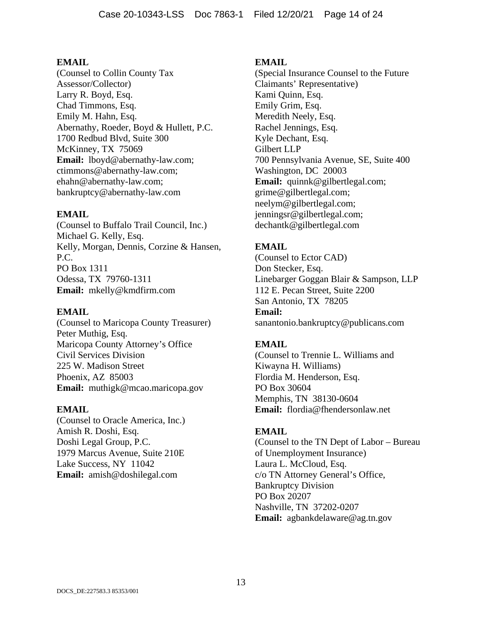(Counsel to Collin County Tax Assessor/Collector) Larry R. Boyd, Esq. Chad Timmons, Esq. Emily M. Hahn, Esq. Abernathy, Roeder, Boyd & Hullett, P.C. 1700 Redbud Blvd, Suite 300 McKinney, TX 75069 **Email:** lboyd@abernathy-law.com; ctimmons@abernathy-law.com; ehahn@abernathy-law.com; bankruptcy@abernathy-law.com

### **EMAIL**

(Counsel to Buffalo Trail Council, Inc.) Michael G. Kelly, Esq. Kelly, Morgan, Dennis, Corzine & Hansen, P.C. PO Box 1311 Odessa, TX 79760-1311 **Email:** mkelly@kmdfirm.com

### **EMAIL**

(Counsel to Maricopa County Treasurer) Peter Muthig, Esq. Maricopa County Attorney's Office Civil Services Division 225 W. Madison Street Phoenix, AZ 85003 **Email:** muthigk@mcao.maricopa.gov

### **EMAIL**

(Counsel to Oracle America, Inc.) Amish R. Doshi, Esq. Doshi Legal Group, P.C. 1979 Marcus Avenue, Suite 210E Lake Success, NY 11042 **Email:** amish@doshilegal.com

### **EMAIL**

(Special Insurance Counsel to the Future Claimants' Representative) Kami Quinn, Esq. Emily Grim, Esq. Meredith Neely, Esq. Rachel Jennings, Esq. Kyle Dechant, Esq. Gilbert LLP 700 Pennsylvania Avenue, SE, Suite 400 Washington, DC 20003 **Email:** quinnk@gilbertlegal.com; grime@gilbertlegal.com; neelym@gilbertlegal.com; jenningsr@gilbertlegal.com; dechantk@gilbertlegal.com

# **EMAIL**

(Counsel to Ector CAD) Don Stecker, Esq. Linebarger Goggan Blair & Sampson, LLP 112 E. Pecan Street, Suite 2200 San Antonio, TX 78205 **Email:** sanantonio.bankruptcy@publicans.com

## **EMAIL**

(Counsel to Trennie L. Williams and Kiwayna H. Williams) Flordia M. Henderson, Esq. PO Box 30604 Memphis, TN 38130-0604 **Email:** flordia@fhendersonlaw.net

## **EMAIL**

(Counsel to the TN Dept of Labor – Bureau of Unemployment Insurance) Laura L. McCloud, Esq. c/o TN Attorney General's Office, Bankruptcy Division PO Box 20207 Nashville, TN 37202-0207 **Email:** agbankdelaware@ag.tn.gov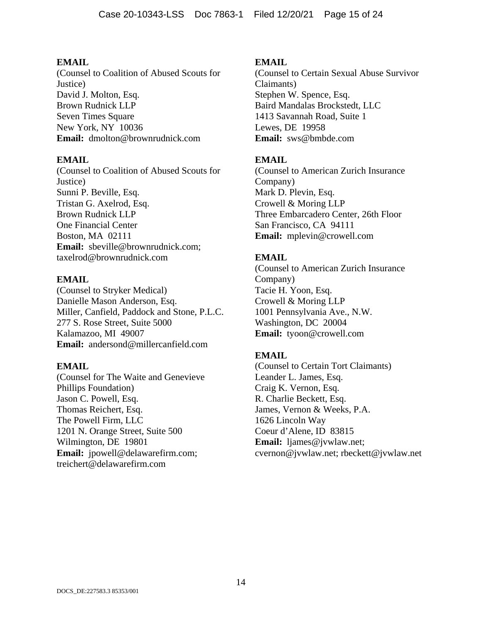(Counsel to Coalition of Abused Scouts for Justice) David J. Molton, Esq. Brown Rudnick LLP Seven Times Square New York, NY 10036 **Email:** dmolton@brownrudnick.com

### **EMAIL**

(Counsel to Coalition of Abused Scouts for Justice) Sunni P. Beville, Esq. Tristan G. Axelrod, Esq. Brown Rudnick LLP One Financial Center Boston, MA 02111 **Email:** sbeville@brownrudnick.com; taxelrod@brownrudnick.com

### **EMAIL**

(Counsel to Stryker Medical) Danielle Mason Anderson, Esq. Miller, Canfield, Paddock and Stone, P.L.C. 277 S. Rose Street, Suite 5000 Kalamazoo, MI 49007 **Email:** andersond@millercanfield.com

### **EMAIL**

(Counsel for The Waite and Genevieve Phillips Foundation) Jason C. Powell, Esq. Thomas Reichert, Esq. The Powell Firm, LLC 1201 N. Orange Street, Suite 500 Wilmington, DE 19801 **Email:** jpowell@delawarefirm.com; treichert@delawarefirm.com

### **EMAIL**

(Counsel to Certain Sexual Abuse Survivor Claimants) Stephen W. Spence, Esq. Baird Mandalas Brockstedt, LLC 1413 Savannah Road, Suite 1 Lewes, DE 19958 **Email:** sws@bmbde.com

## **EMAIL**

(Counsel to American Zurich Insurance Company) Mark D. Plevin, Esq. Crowell & Moring LLP Three Embarcadero Center, 26th Floor San Francisco, CA 94111 **Email:** mplevin@crowell.com

## **EMAIL**

(Counsel to American Zurich Insurance Company) Tacie H. Yoon, Esq. Crowell & Moring LLP 1001 Pennsylvania Ave., N.W. Washington, DC 20004 **Email:** tyoon@crowell.com

## **EMAIL**

(Counsel to Certain Tort Claimants) Leander L. James, Esq. Craig K. Vernon, Esq. R. Charlie Beckett, Esq. James, Vernon & Weeks, P.A. 1626 Lincoln Way Coeur d'Alene, ID 83815 **Email:** ljames@jvwlaw.net; cvernon@jvwlaw.net; rbeckett@jvwlaw.net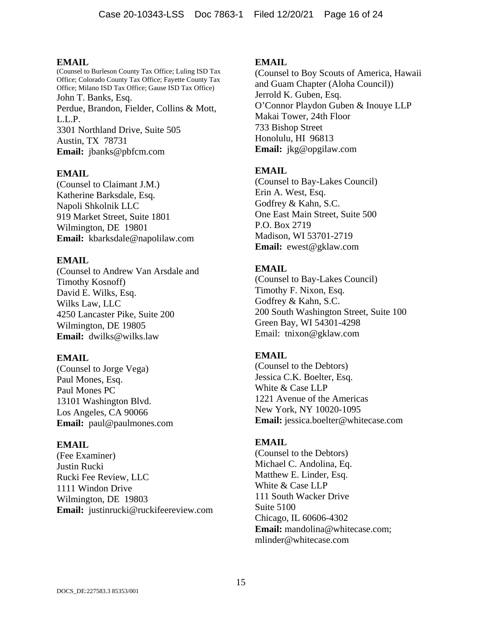(Counsel to Burleson County Tax Office; Luling ISD Tax Office; Colorado County Tax Office; Fayette County Tax Office; Milano ISD Tax Office; Gause ISD Tax Office) John T. Banks, Esq. Perdue, Brandon, Fielder, Collins & Mott, L.L.P. 3301 Northland Drive, Suite 505 Austin, TX 78731 **Email:** jbanks@pbfcm.com

### **EMAIL**

(Counsel to Claimant J.M.) Katherine Barksdale, Esq. Napoli Shkolnik LLC 919 Market Street, Suite 1801 Wilmington, DE 19801 **Email:** kbarksdale@napolilaw.com

#### **EMAIL**

(Counsel to Andrew Van Arsdale and Timothy Kosnoff) David E. Wilks, Esq. Wilks Law, LLC 4250 Lancaster Pike, Suite 200 Wilmington, DE 19805 **Email:** dwilks@wilks.law

### **EMAIL**

(Counsel to Jorge Vega) Paul Mones, Esq. Paul Mones PC 13101 Washington Blvd. Los Angeles, CA 90066 **Email:** paul@paulmones.com

### **EMAIL**

(Fee Examiner) Justin Rucki Rucki Fee Review, LLC 1111 Windon Drive Wilmington, DE 19803 **Email:** justinrucki@ruckifeereview.com

#### **EMAIL**

(Counsel to Boy Scouts of America, Hawaii and Guam Chapter (Aloha Council)) Jerrold K. Guben, Esq. O'Connor Playdon Guben & Inouye LLP Makai Tower, 24th Floor 733 Bishop Street Honolulu, HI 96813 **Email:** jkg@opgilaw.com

### **EMAIL**

(Counsel to Bay-Lakes Council) Erin A. West, Esq. Godfrey & Kahn, S.C. One East Main Street, Suite 500 P.O. Box 2719 Madison, WI 53701-2719 **Email:** ewest@gklaw.com

### **EMAIL**

(Counsel to Bay-Lakes Council) Timothy F. Nixon, Esq. Godfrey & Kahn, S.C. 200 South Washington Street, Suite 100 Green Bay, WI 54301-4298 Email: tnixon@gklaw.com

### **EMAIL**

(Counsel to the Debtors) Jessica C.K. Boelter, Esq. White & Case LLP 1221 Avenue of the Americas New York, NY 10020-1095 **Email:** jessica.boelter@whitecase.com

#### **EMAIL**

(Counsel to the Debtors) Michael C. Andolina, Eq. Matthew E. Linder, Esq. White & Case LLP 111 South Wacker Drive Suite 5100 Chicago, IL 60606-4302 **Email:** mandolina@whitecase.com; mlinder@whitecase.com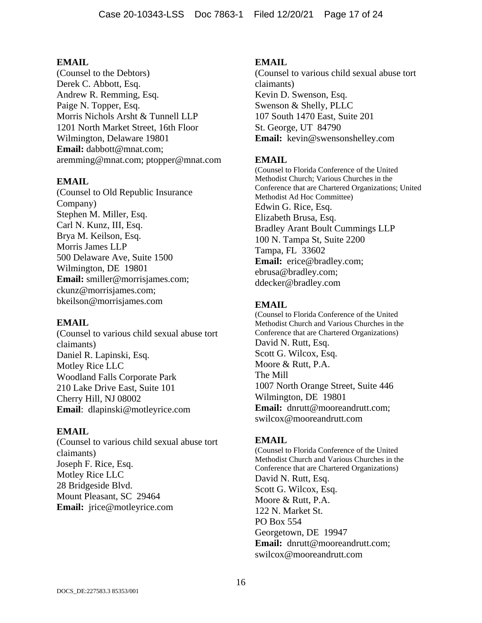(Counsel to the Debtors) Derek C. Abbott, Esq. Andrew R. Remming, Esq. Paige N. Topper, Esq. Morris Nichols Arsht & Tunnell LLP 1201 North Market Street, 16th Floor Wilmington, Delaware 19801 **Email:** dabbott@mnat.com; aremming@mnat.com; ptopper@mnat.com

### **EMAIL**

(Counsel to Old Republic Insurance Company) Stephen M. Miller, Esq. Carl N. Kunz, III, Esq. Brya M. Keilson, Esq. Morris James LLP 500 Delaware Ave, Suite 1500 Wilmington, DE 19801 **Email:** smiller@morrisjames.com; ckunz@morrisjames.com; bkeilson@morrisjames.com

### **EMAIL**

(Counsel to various child sexual abuse tort claimants) Daniel R. Lapinski, Esq. Motley Rice LLC Woodland Falls Corporate Park 210 Lake Drive East, Suite 101 Cherry Hill, NJ 08002 **Email**: dlapinski@motleyrice.com

### **EMAIL**

(Counsel to various child sexual abuse tort claimants) Joseph F. Rice, Esq. Motley Rice LLC 28 Bridgeside Blvd. Mount Pleasant, SC 29464 **Email:** jrice@motleyrice.com

### **EMAIL**

(Counsel to various child sexual abuse tort claimants) Kevin D. Swenson, Esq. Swenson & Shelly, PLLC 107 South 1470 East, Suite 201 St. George, UT 84790 **Email:** kevin@swensonshelley.com

## **EMAIL**

(Counsel to Florida Conference of the United Methodist Church; Various Churches in the Conference that are Chartered Organizations; United Methodist Ad Hoc Committee) Edwin G. Rice, Esq. Elizabeth Brusa, Esq. Bradley Arant Boult Cummings LLP 100 N. Tampa St, Suite 2200 Tampa, FL 33602 **Email:** erice@bradley.com; ebrusa@bradley.com; ddecker@bradley.com

### **EMAIL**

(Counsel to Florida Conference of the United Methodist Church and Various Churches in the Conference that are Chartered Organizations) David N. Rutt, Esq. Scott G. Wilcox, Esq. Moore & Rutt, P.A. The Mill 1007 North Orange Street, Suite 446 Wilmington, DE 19801 **Email:** dnrutt@mooreandrutt.com; swilcox@mooreandrutt.com

### **EMAIL**

(Counsel to Florida Conference of the United Methodist Church and Various Churches in the Conference that are Chartered Organizations) David N. Rutt, Esq. Scott G. Wilcox, Esq. Moore & Rutt, P.A. 122 N. Market St. PO Box 554 Georgetown, DE 19947 **Email:** dnrutt@mooreandrutt.com; swilcox@mooreandrutt.com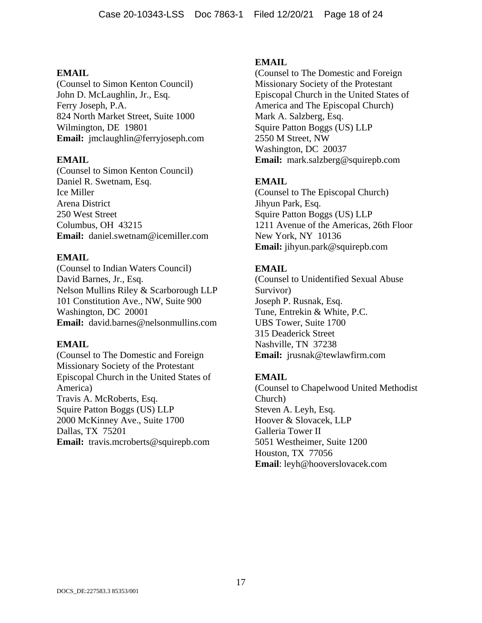(Counsel to Simon Kenton Council) John D. McLaughlin, Jr., Esq. Ferry Joseph, P.A. 824 North Market Street, Suite 1000 Wilmington, DE 19801 **Email:** jmclaughlin@ferryjoseph.com

### **EMAIL**

(Counsel to Simon Kenton Council) Daniel R. Swetnam, Esq. Ice Miller Arena District 250 West Street Columbus, OH 43215 **Email:** daniel.swetnam@icemiller.com

## **EMAIL**

(Counsel to Indian Waters Council) David Barnes, Jr., Esq. Nelson Mullins Riley & Scarborough LLP 101 Constitution Ave., NW, Suite 900 Washington, DC 20001 **Email:** david.barnes@nelsonmullins.com

### **EMAIL**

(Counsel to The Domestic and Foreign Missionary Society of the Protestant Episcopal Church in the United States of America) Travis A. McRoberts, Esq. Squire Patton Boggs (US) LLP 2000 McKinney Ave., Suite 1700 Dallas, TX 75201 **Email:** travis.mcroberts@squirepb.com

### **EMAIL**

(Counsel to The Domestic and Foreign Missionary Society of the Protestant Episcopal Church in the United States of America and The Episcopal Church) Mark A. Salzberg, Esq. Squire Patton Boggs (US) LLP 2550 M Street, NW Washington, DC 20037 **Email:** mark.salzberg@squirepb.com

# **EMAIL**

(Counsel to The Episcopal Church) Jihyun Park, Esq. Squire Patton Boggs (US) LLP 1211 Avenue of the Americas, 26th Floor New York, NY 10136 **Email:** jihyun.park@squirepb.com

## **EMAIL**

(Counsel to Unidentified Sexual Abuse Survivor) Joseph P. Rusnak, Esq. Tune, Entrekin & White, P.C. UBS Tower, Suite 1700 315 Deaderick Street Nashville, TN 37238 **Email:** jrusnak@tewlawfirm.com

## **EMAIL**

(Counsel to Chapelwood United Methodist Church) Steven A. Leyh, Esq. Hoover & Slovacek, LLP Galleria Tower II 5051 Westheimer, Suite 1200 Houston, TX 77056 **Email**: leyh@hooverslovacek.com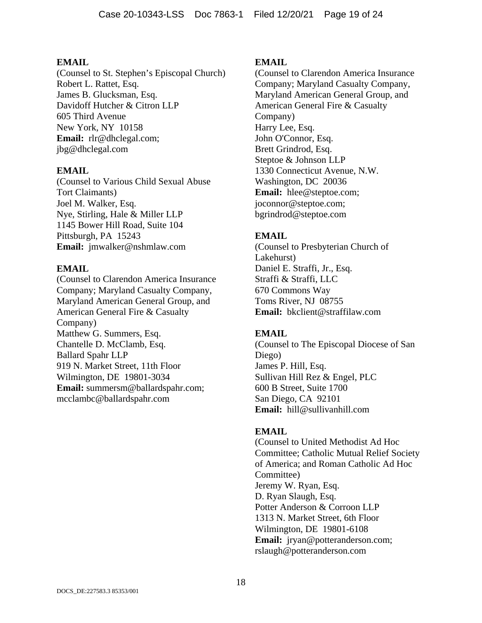(Counsel to St. Stephen's Episcopal Church) Robert L. Rattet, Esq. James B. Glucksman, Esq. Davidoff Hutcher & Citron LLP 605 Third Avenue New York, NY 10158 **Email:** rlr@dhclegal.com; jbg@dhclegal.com

### **EMAIL**

(Counsel to Various Child Sexual Abuse Tort Claimants) Joel M. Walker, Esq. Nye, Stirling, Hale & Miller LLP 1145 Bower Hill Road, Suite 104 Pittsburgh, PA 15243 **Email:** jmwalker@nshmlaw.com

### **EMAIL**

(Counsel to Clarendon America Insurance Company; Maryland Casualty Company, Maryland American General Group, and American General Fire & Casualty Company) Matthew G. Summers, Esq. Chantelle D. McClamb, Esq. Ballard Spahr LLP 919 N. Market Street, 11th Floor Wilmington, DE 19801-3034 **Email:** summersm@ballardspahr.com; mcclambc@ballardspahr.com

### **EMAIL**

(Counsel to Clarendon America Insurance Company; Maryland Casualty Company, Maryland American General Group, and American General Fire & Casualty Company) Harry Lee, Esq. John O'Connor, Esq. Brett Grindrod, Esq. Steptoe & Johnson LLP 1330 Connecticut Avenue, N.W. Washington, DC 20036 **Email:** hlee@steptoe.com; joconnor@steptoe.com; bgrindrod@steptoe.com

## **EMAIL**

(Counsel to Presbyterian Church of Lakehurst) Daniel E. Straffi, Jr., Esq. Straffi & Straffi, LLC 670 Commons Way Toms River, NJ 08755 **Email:** bkclient@straffilaw.com

## **EMAIL**

(Counsel to The Episcopal Diocese of San Diego) James P. Hill, Esq. Sullivan Hill Rez & Engel, PLC 600 B Street, Suite 1700 San Diego, CA 92101 **Email:** hill@sullivanhill.com

## **EMAIL**

(Counsel to United Methodist Ad Hoc Committee; Catholic Mutual Relief Society of America; and Roman Catholic Ad Hoc Committee) Jeremy W. Ryan, Esq. D. Ryan Slaugh, Esq. Potter Anderson & Corroon LLP 1313 N. Market Street, 6th Floor Wilmington, DE 19801-6108 **Email:** jryan@potteranderson.com; rslaugh@potteranderson.com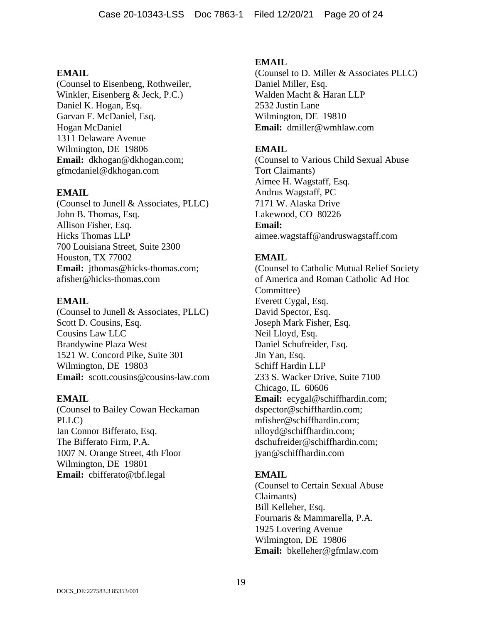(Counsel to Eisenbeng, Rothweiler, Winkler, Eisenberg & Jeck, P.C.) Daniel K. Hogan, Esq. Garvan F. McDaniel, Esq. Hogan McDaniel 1311 Delaware Avenue Wilmington, DE 19806 **Email:** dkhogan@dkhogan.com; gfmcdaniel@dkhogan.com

### **EMAIL**

(Counsel to Junell & Associates, PLLC) John B. Thomas, Esq. Allison Fisher, Esq. Hicks Thomas LLP 700 Louisiana Street, Suite 2300 Houston, TX 77002 Email: jthomas@hicks-thomas.com; afisher@hicks-thomas.com

#### **EMAIL**

(Counsel to Junell & Associates, PLLC) Scott D. Cousins, Esq. Cousins Law LLC Brandywine Plaza West 1521 W. Concord Pike, Suite 301 Wilmington, DE 19803 **Email:** scott.cousins@cousins-law.com

### **EMAIL**

(Counsel to Bailey Cowan Heckaman PLLC) Ian Connor Bifferato, Esq. The Bifferato Firm, P.A. 1007 N. Orange Street, 4th Floor Wilmington, DE 19801 **Email:** cbifferato@tbf.legal

### **EMAIL**

(Counsel to D. Miller & Associates PLLC) Daniel Miller, Esq. Walden Macht & Haran LLP 2532 Justin Lane Wilmington, DE 19810 **Email:** dmiller@wmhlaw.com

### **EMAIL**

(Counsel to Various Child Sexual Abuse Tort Claimants) Aimee H. Wagstaff, Esq. Andrus Wagstaff, PC 7171 W. Alaska Drive Lakewood, CO 80226 **Email:** aimee.wagstaff@andruswagstaff.com

## **EMAIL**

(Counsel to Catholic Mutual Relief Society of America and Roman Catholic Ad Hoc Committee) Everett Cygal, Esq. David Spector, Esq. Joseph Mark Fisher, Esq. Neil Lloyd, Esq. Daniel Schufreider, Esq. Jin Yan, Esq. Schiff Hardin LLP 233 S. Wacker Drive, Suite 7100 Chicago, IL 60606 **Email:** ecygal@schiffhardin.com; dspector@schiffhardin.com; mfisher@schiffhardin.com; nlloyd@schiffhardin.com; dschufreider@schiffhardin.com; jyan@schiffhardin.com

### **EMAIL**

(Counsel to Certain Sexual Abuse Claimants) Bill Kelleher, Esq. Fournaris & Mammarella, P.A. 1925 Lovering Avenue Wilmington, DE 19806 **Email:** bkelleher@gfmlaw.com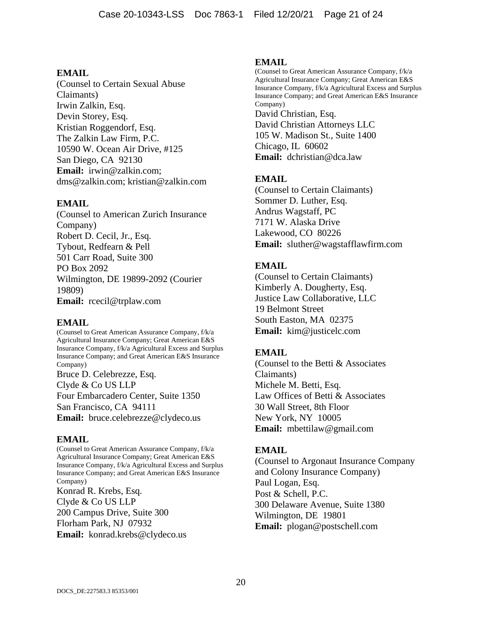(Counsel to Certain Sexual Abuse Claimants) Irwin Zalkin, Esq. Devin Storey, Esq. Kristian Roggendorf, Esq. The Zalkin Law Firm, P.C. 10590 W. Ocean Air Drive, #125 San Diego, CA 92130 **Email:** irwin@zalkin.com; dms@zalkin.com; kristian@zalkin.com

## **EMAIL**

(Counsel to American Zurich Insurance Company) Robert D. Cecil, Jr., Esq. Tybout, Redfearn & Pell 501 Carr Road, Suite 300 PO Box 2092 Wilmington, DE 19899-2092 (Courier 19809) **Email:** rcecil@trplaw.com

## **EMAIL**

(Counsel to Great American Assurance Company, f/k/a Agricultural Insurance Company; Great American E&S Insurance Company, f/k/a Agricultural Excess and Surplus Insurance Company; and Great American E&S Insurance Company)

Bruce D. Celebrezze, Esq. Clyde & Co US LLP Four Embarcadero Center, Suite 1350 San Francisco, CA 94111 **Email:** bruce.celebrezze@clydeco.us

## **EMAIL**

(Counsel to Great American Assurance Company, f/k/a Agricultural Insurance Company; Great American E&S Insurance Company, f/k/a Agricultural Excess and Surplus Insurance Company; and Great American E&S Insurance Company) Konrad R. Krebs, Esq. Clyde & Co US LLP

200 Campus Drive, Suite 300 Florham Park, NJ 07932 **Email:** konrad.krebs@clydeco.us

### **EMAIL**

(Counsel to Great American Assurance Company, f/k/a Agricultural Insurance Company; Great American E&S Insurance Company, f/k/a Agricultural Excess and Surplus Insurance Company; and Great American E&S Insurance Company) David Christian, Esq. David Christian Attorneys LLC 105 W. Madison St., Suite 1400 Chicago, IL 60602 **Email:** dchristian@dca.law

# **EMAIL**

(Counsel to Certain Claimants) Sommer D. Luther, Esq. Andrus Wagstaff, PC 7171 W. Alaska Drive Lakewood, CO 80226 **Email:** sluther@wagstafflawfirm.com

# **EMAIL**

(Counsel to Certain Claimants) Kimberly A. Dougherty, Esq. Justice Law Collaborative, LLC 19 Belmont Street South Easton, MA 02375 **Email:** kim@justicelc.com

## **EMAIL**

(Counsel to the Betti & Associates Claimants) Michele M. Betti, Esq. Law Offices of Betti & Associates 30 Wall Street, 8th Floor New York, NY 10005 **Email:** mbettilaw@gmail.com

## **EMAIL**

(Counsel to Argonaut Insurance Company and Colony Insurance Company) Paul Logan, Esq. Post & Schell, P.C. 300 Delaware Avenue, Suite 1380 Wilmington, DE 19801 **Email:** plogan@postschell.com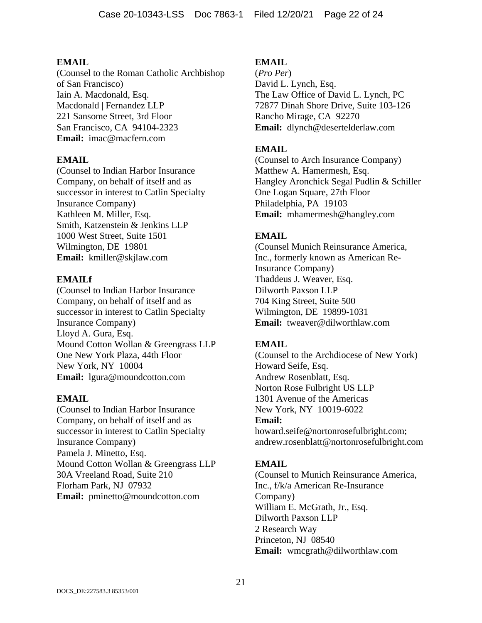(Counsel to the Roman Catholic Archbishop of San Francisco) Iain A. Macdonald, Esq. Macdonald | Fernandez LLP 221 Sansome Street, 3rd Floor San Francisco, CA 94104-2323 **Email:** imac@macfern.com

### **EMAIL**

(Counsel to Indian Harbor Insurance Company, on behalf of itself and as successor in interest to Catlin Specialty Insurance Company) Kathleen M. Miller, Esq. Smith, Katzenstein & Jenkins LLP 1000 West Street, Suite 1501 Wilmington, DE 19801 **Email:** kmiller@skjlaw.com

### **EMAILf**

(Counsel to Indian Harbor Insurance Company, on behalf of itself and as successor in interest to Catlin Specialty Insurance Company) Lloyd A. Gura, Esq. Mound Cotton Wollan & Greengrass LLP One New York Plaza, 44th Floor New York, NY 10004 **Email:** lgura@moundcotton.com

### **EMAIL**

(Counsel to Indian Harbor Insurance Company, on behalf of itself and as successor in interest to Catlin Specialty Insurance Company) Pamela J. Minetto, Esq. Mound Cotton Wollan & Greengrass LLP 30A Vreeland Road, Suite 210 Florham Park, NJ 07932 **Email:** pminetto@moundcotton.com

### **EMAIL**

(*Pro Per*) David L. Lynch, Esq. The Law Office of David L. Lynch, PC 72877 Dinah Shore Drive, Suite 103-126 Rancho Mirage, CA 92270 **Email:** dlynch@desertelderlaw.com

### **EMAIL**

(Counsel to Arch Insurance Company) Matthew A. Hamermesh, Esq. Hangley Aronchick Segal Pudlin & Schiller One Logan Square, 27th Floor Philadelphia, PA 19103 **Email:** mhamermesh@hangley.com

## **EMAIL**

(Counsel Munich Reinsurance America, Inc., formerly known as American Re-Insurance Company) Thaddeus J. Weaver, Esq. Dilworth Paxson LLP 704 King Street, Suite 500 Wilmington, DE 19899-1031 **Email:** tweaver@dilworthlaw.com

### **EMAIL**

(Counsel to the Archdiocese of New York) Howard Seife, Esq. Andrew Rosenblatt, Esq. Norton Rose Fulbright US LLP 1301 Avenue of the Americas New York, NY 10019-6022 **Email:** howard.seife@nortonrosefulbright.com; andrew.rosenblatt@nortonrosefulbright.com

## **EMAIL**

(Counsel to Munich Reinsurance America, Inc., f/k/a American Re-Insurance Company) William E. McGrath, Jr., Esq. Dilworth Paxson LLP 2 Research Way Princeton, NJ 08540 **Email:** wmcgrath@dilworthlaw.com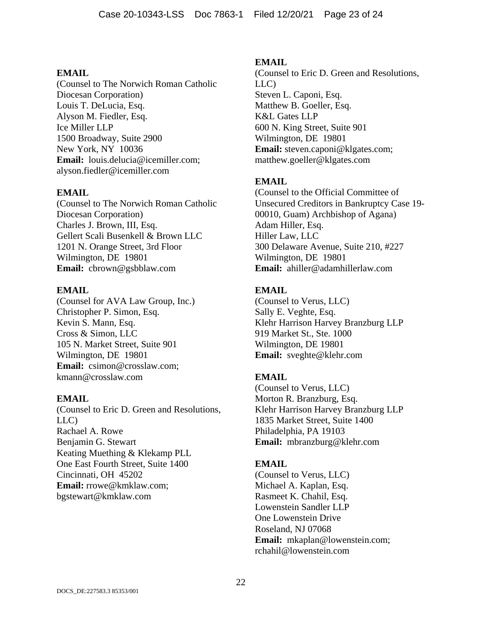(Counsel to The Norwich Roman Catholic Diocesan Corporation) Louis T. DeLucia, Esq. Alyson M. Fiedler, Esq. Ice Miller LLP 1500 Broadway, Suite 2900 New York, NY 10036 **Email:** louis.delucia@icemiller.com; alyson.fiedler@icemiller.com

### **EMAIL**

(Counsel to The Norwich Roman Catholic Diocesan Corporation) Charles J. Brown, III, Esq. Gellert Scali Busenkell & Brown LLC 1201 N. Orange Street, 3rd Floor Wilmington, DE 19801 **Email:** cbrown@gsbblaw.com

### **EMAIL**

(Counsel for AVA Law Group, Inc.) Christopher P. Simon, Esq. Kevin S. Mann, Esq. Cross & Simon, LLC 105 N. Market Street, Suite 901 Wilmington, DE 19801 **Email:** csimon@crosslaw.com; kmann@crosslaw.com

## **EMAIL**

(Counsel to Eric D. Green and Resolutions, LLC) Rachael A. Rowe Benjamin G. Stewart Keating Muething & Klekamp PLL One East Fourth Street, Suite 1400 Cincinnati, OH 45202 **Email:** rrowe@kmklaw.com; bgstewart@kmklaw.com

### **EMAIL**

(Counsel to Eric D. Green and Resolutions, LLC) Steven L. Caponi, Esq. Matthew B. Goeller, Esq. K&L Gates LLP 600 N. King Street, Suite 901 Wilmington, DE 19801 **Email:** steven.caponi@klgates.com; matthew.goeller@klgates.com

# **EMAIL**

(Counsel to the Official Committee of Unsecured Creditors in Bankruptcy Case 19- 00010, Guam) Archbishop of Agana) Adam Hiller, Esq. Hiller Law, LLC 300 Delaware Avenue, Suite 210, #227 Wilmington, DE 19801 **Email:** ahiller@adamhillerlaw.com

## **EMAIL**

(Counsel to Verus, LLC) Sally E. Veghte, Esq. Klehr Harrison Harvey Branzburg LLP 919 Market St., Ste. 1000 Wilmington, DE 19801 **Email:** sveghte@klehr.com

## **EMAIL**

(Counsel to Verus, LLC) Morton R. Branzburg, Esq. Klehr Harrison Harvey Branzburg LLP 1835 Market Street, Suite 1400 Philadelphia, PA 19103 **Email:** mbranzburg@klehr.com

## **EMAIL**

(Counsel to Verus, LLC) Michael A. Kaplan, Esq. Rasmeet K. Chahil, Esq. Lowenstein Sandler LLP One Lowenstein Drive Roseland, NJ 07068 **Email:** mkaplan@lowenstein.com; rchahil@lowenstein.com